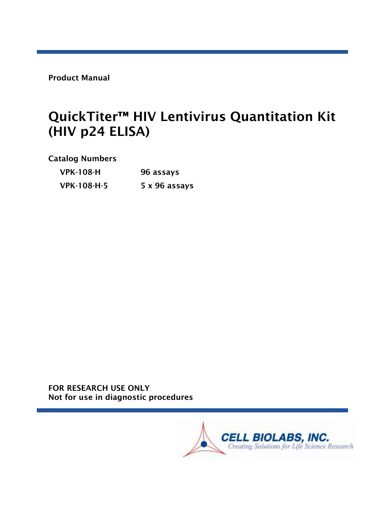Product Manual

# QuickTiter<sup>™</sup> HIV Lentivirus Quantitation Kit (HIV p24 ELISA)

Catalog Numbers

| <b>VPK-108-H</b>   | 96 assays     |  |
|--------------------|---------------|--|
| <b>VPK-108-H-5</b> | 5 x 96 assays |  |

FOR RESEARCH USE ONLY Not for use in diagnostic procedures

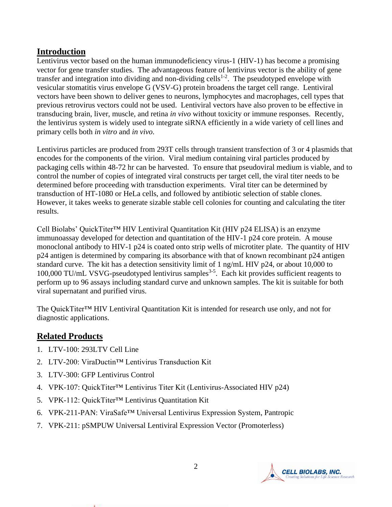## **Introduction**

Lentivirus vector based on the human immunodeficiency virus-1 (HIV-1) has become a promising vector for gene transfer studies. The advantageous feature of lentivirus vector is the ability of gene transfer and integration into dividing and non-dividing cells<sup>1-2</sup>. The pseudotyped envelope with vesicular stomatitis virus envelope G (VSV-G) protein broadens the target cell range. Lentiviral vectors have been shown to deliver genes to neurons, lymphocytes and macrophages, cell types that previous retrovirus vectors could not be used. Lentiviral vectors have also proven to be effective in transducing brain, liver, muscle, and retina *in vivo* without toxicity or immune responses. Recently, the lentivirus system is widely used to integrate siRNA efficiently in a wide variety of cell lines and primary cells both *in vitro* and *in vivo*.

Lentivirus particles are produced from 293T cells through transient transfection of 3 or 4 plasmids that encodes for the components of the virion. Viral medium containing viral particles produced by packaging cells within 48-72 hr can be harvested. To ensure that pseudoviral medium is viable, and to control the number of copies of integrated viral constructs per target cell, the viral titer needs to be determined before proceeding with transduction experiments. Viral titer can be determined by transduction of HT-1080 or HeLa cells, and followed by antibiotic selection of stable clones. However, it takes weeks to generate sizable stable cell colonies for counting and calculating the titer results.

Cell Biolabs' QuickTiter<sup>™</sup> HIV Lentiviral Quantitation Kit (HIV p24 ELISA) is an enzyme immunoassay developed for detection and quantitation of the HIV-1 p24 core protein. A mouse monoclonal antibody to HIV-1 p24 is coated onto strip wells of microtiter plate. The quantity of HIV p24 antigen is determined by comparing its absorbance with that of known recombinant p24 antigen standard curve. The kit has a detection sensitivity limit of 1 ng/mL HIV p24, or about 10,000 to 100,000 TU/mL VSVG-pseudotyped lentivirus samples<sup>3-5</sup>. Each kit provides sufficient reagents to perform up to 96 assays including standard curve and unknown samples. The kit is suitable for both viral supernatant and purified virus.

The QuickTiter™ HIV Lentiviral Quantitation Kit is intended for research use only, and not for diagnostic applications.

# **Related Products**

- 1. LTV-100: 293LTV Cell Line
- 2. LTV-200: ViraDuctin™ Lentivirus Transduction Kit
- 3. LTV-300: GFP Lentivirus Control
- 4. VPK-107: QuickTiter™ Lentivirus Titer Kit (Lentivirus-Associated HIV p24)
- 5. VPK-112: QuickTiter™ Lentivirus Quantitation Kit
- 6. VPK-211-PAN: ViraSafe™ Universal Lentivirus Expression System, Pantropic
- 7. VPK-211: pSMPUW Universal Lentiviral Expression Vector (Promoterless)

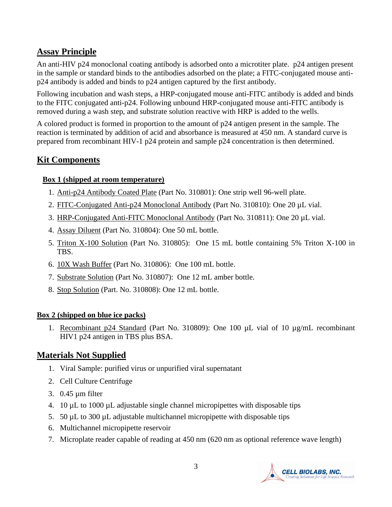# **Assay Principle**

An anti-HIV p24 monoclonal coating antibody is adsorbed onto a microtiter plate. p24 antigen present in the sample or standard binds to the antibodies adsorbed on the plate; a FITC-conjugated mouse antip24 antibody is added and binds to p24 antigen captured by the first antibody.

Following incubation and wash steps, a HRP-conjugated mouse anti-FITC antibody is added and binds to the FITC conjugated anti-p24. Following unbound HRP-conjugated mouse anti-FITC antibody is removed during a wash step, and substrate solution reactive with HRP is added to the wells.

A colored product is formed in proportion to the amount of p24 antigen present in the sample. The reaction is terminated by addition of acid and absorbance is measured at 450 nm. A standard curve is prepared from recombinant HIV-1 p24 protein and sample p24 concentration is then determined.

# **Kit Components**

#### **Box 1 (shipped at room temperature)**

- 1. Anti-p24 Antibody Coated Plate (Part No. 310801): One strip well 96-well plate.
- 2. FITC-Conjugated Anti-p24 Monoclonal Antibody (Part No. 310810): One 20 µL vial.
- 3. HRP-Conjugated Anti-FITC Monoclonal Antibody (Part No. 310811): One 20 µL vial.
- 4. Assay Diluent (Part No. 310804): One 50 mL bottle.
- 5. Triton X-100 Solution (Part No. 310805): One 15 mL bottle containing 5% Triton X-100 in TBS.
- 6. 10X Wash Buffer (Part No. 310806): One 100 mL bottle.
- 7. Substrate Solution (Part No. 310807): One 12 mL amber bottle.
- 8. Stop Solution (Part. No. 310808): One 12 mL bottle.

#### **Box 2 (shipped on blue ice packs)**

1. Recombinant p24 Standard (Part No. 310809): One 100 µL vial of 10 µg/mL recombinant HIV1 p24 antigen in TBS plus BSA.

# **Materials Not Supplied**

- 1. Viral Sample: purified virus or unpurified viral supernatant
- 2. Cell Culture Centrifuge
- 3. 0.45 µm filter
- 4. 10 µL to 1000 µL adjustable single channel micropipettes with disposable tips
- 5. 50 µL to 300 µL adjustable multichannel micropipette with disposable tips
- 6. Multichannel micropipette reservoir
- 7. Microplate reader capable of reading at 450 nm (620 nm as optional reference wave length)

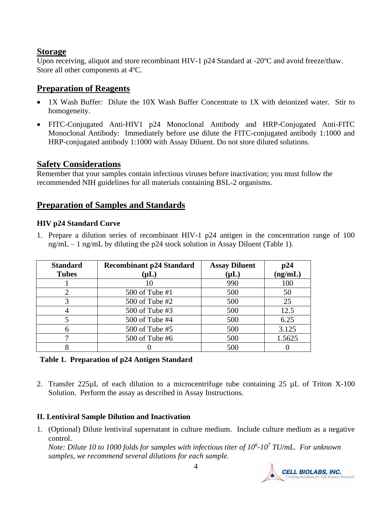## **Storage**

Upon receiving, aliquot and store recombinant HIV-1 p24 Standard at -20 °C and avoid freeze/thaw. Store all other components at 4ºC.

# **Preparation of Reagents**

- 1X Wash Buffer: Dilute the 10X Wash Buffer Concentrate to 1X with deionized water. Stir to homogeneity.
- FITC-Conjugated Anti-HIV1 p24 Monoclonal Antibody and HRP-Conjugated Anti-FITC Monoclonal Antibody: Immediately before use dilute the FITC-conjugated antibody 1:1000 and HRP-conjugated antibody 1:1000 with Assay Diluent. Do not store diluted solutions.

## **Safety Considerations**

Remember that your samples contain infectious viruses before inactivation; you must follow the recommended NIH guidelines for all materials containing BSL-2 organisms.

## **Preparation of Samples and Standards**

#### **HIV p24 Standard Curve**

1. Prepare a dilution series of recombinant HIV-1 p24 antigen in the concentration range of 100 ng/mL – 1 ng/mL by diluting the p24 stock solution in Assay Diluent (Table 1).

| <b>Standard</b><br><b>Tubes</b> | <b>Recombinant p24 Standard</b><br>$(\mathsf{\mu L})$ | <b>Assay Diluent</b><br>$(\mathsf{\mu L})$ | p24<br>(ng/mL) |
|---------------------------------|-------------------------------------------------------|--------------------------------------------|----------------|
|                                 |                                                       | 990                                        | 100            |
| 2                               | 500 of Tube $#1$                                      | 500                                        | 50             |
|                                 | 500 of Tube #2                                        | 500                                        | 25             |
|                                 | 500 of Tube #3                                        | 500                                        | 12.5           |
|                                 | 500 of Tube #4                                        | 500                                        | 6.25           |
|                                 | 500 of Tube #5                                        | 500                                        | 3.125          |
|                                 | 500 of Tube #6                                        | 500                                        | 1.5625         |
|                                 |                                                       | 500                                        |                |

#### **Table 1. Preparation of p24 Antigen Standard**

2. Transfer 225µL of each dilution to a microcentrifuge tube containing 25 µL of Triton X-100 Solution. Perform the assay as described in Assay Instructions.

#### **II. Lentiviral Sample Dilution and Inactivation**

1. (Optional) Dilute lentiviral supernatant in culture medium. Include culture medium as a negative control.

*Note: Dilute 10 to 1000 folds for samples with infectious titer of 10<sup>6</sup> -10<sup>7</sup> TU/mL. For unknown samples, we recommend several dilutions for each sample.*

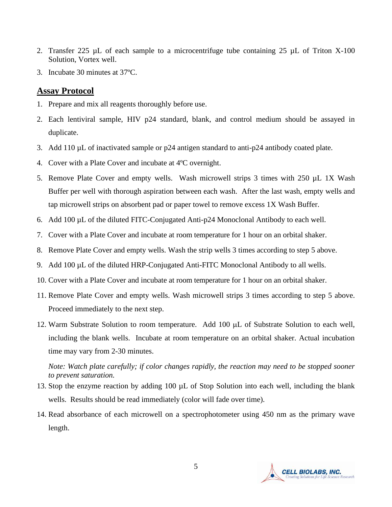- 2. Transfer 225  $\mu$ L of each sample to a microcentrifuge tube containing 25  $\mu$ L of Triton X-100 Solution, Vortex well.
- 3. Incubate 30 minutes at 37ºC.

## **Assay Protocol**

- 1. Prepare and mix all reagents thoroughly before use.
- 2. Each lentiviral sample, HIV p24 standard, blank, and control medium should be assayed in duplicate.
- 3. Add 110 µL of inactivated sample or p24 antigen standard to anti-p24 antibody coated plate.
- 4. Cover with a Plate Cover and incubate at 4ºC overnight.
- 5. Remove Plate Cover and empty wells. Wash microwell strips 3 times with 250 µL 1X Wash Buffer per well with thorough aspiration between each wash. After the last wash, empty wells and tap microwell strips on absorbent pad or paper towel to remove excess 1X Wash Buffer.
- 6. Add 100 µL of the diluted FITC-Conjugated Anti-p24 Monoclonal Antibody to each well.
- 7. Cover with a Plate Cover and incubate at room temperature for 1 hour on an orbital shaker.
- 8. Remove Plate Cover and empty wells. Wash the strip wells 3 times according to step 5 above.
- 9. Add 100 µL of the diluted HRP-Conjugated Anti-FITC Monoclonal Antibody to all wells.
- 10. Cover with a Plate Cover and incubate at room temperature for 1 hour on an orbital shaker.
- 11. Remove Plate Cover and empty wells. Wash microwell strips 3 times according to step 5 above. Proceed immediately to the next step.
- 12. Warm Substrate Solution to room temperature. Add 100 µL of Substrate Solution to each well, including the blank wells. Incubate at room temperature on an orbital shaker. Actual incubation time may vary from 2-30 minutes.

*Note: Watch plate carefully; if color changes rapidly, the reaction may need to be stopped sooner to prevent saturation.*

- 13. Stop the enzyme reaction by adding 100 µL of Stop Solution into each well, including the blank wells. Results should be read immediately (color will fade over time).
- 14. Read absorbance of each microwell on a spectrophotometer using 450 nm as the primary wave length.

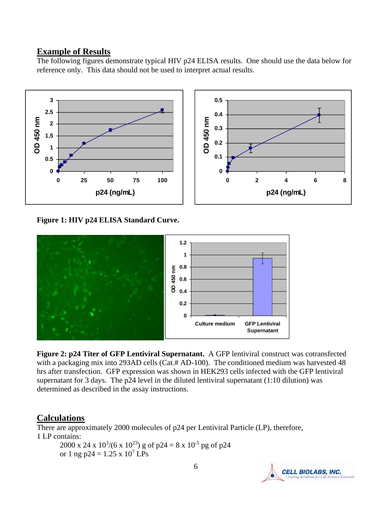#### **Example of Results**

The following figures demonstrate typical HIV p24 ELISA results. One should use the data below for reference only. This data should not be used to interpret actual results.



**Figure 1: HIV p24 ELISA Standard Curve.**



**Figure 2: p24 Titer of GFP Lentiviral Supernatant.** A GFP lentiviral construct was cotransfected with a packaging mix into 293AD cells (Cat.# AD-100). The conditioned medium was harvested 48 hrs after transfection. GFP expression was shown in HEK293 cells infected with the GFP lentiviral supernatant for 3 days. The p24 level in the diluted lentiviral supernatant (1:10 dilution) was determined as described in the assay instructions.

## **Calculations**

There are approximately 2000 molecules of p24 per Lentiviral Particle (LP), therefore, 1 LP contains: 2000 x 24 x  $10^{3}/(6 \times 10^{23})$  g of p24 = 8 x  $10^{-5}$  pg of p24 or 1 ng p24 =  $1.25 \times 10^7$  LPs

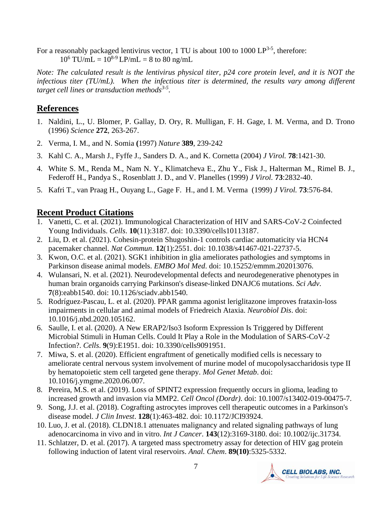For a reasonably packaged lentivirus vector, 1 TU is about 100 to 1000  $LP^{3-5}$ , therefore:  $10^6$  TU/mL =  $10^{8.9}$  LP/mL = 8 to 80 ng/mL

*Note: The calculated result is the lentivirus physical titer, p24 core protein level, and it is NOT the infectious titer (TU/mL). When the infectious titer is determined, the results vary among different target cell lines or transduction methods3-5 .*

## **References**

- 1. Naldini, L., U. Blomer, P. Gallay, D. Ory, R. Mulligan, F. H. Gage, I. M. Verma, and D. Trono (1996) *Science* **272**, 263-267.
- 2. Verma, I. M., and N. Somia **(**1997) *Nature* **389**, 239-242
- 3. [Kahl C. A.](http://www.ncbi.nlm.nih.gov/entrez/query.fcgi?db=pubmed&cmd=Search&term=%22Kahl+CA%22%5BAuthor%5D), [Marsh J.](http://www.ncbi.nlm.nih.gov/entrez/query.fcgi?db=pubmed&cmd=Search&term=%22Marsh+J%22%5BAuthor%5D), [Fyffe](http://www.ncbi.nlm.nih.gov/entrez/query.fcgi?db=pubmed&cmd=Search&term=%22Fyffe+J%22%5BAuthor%5D) J., [Sanders D. A.](http://www.ncbi.nlm.nih.gov/entrez/query.fcgi?db=pubmed&cmd=Search&term=%22Sanders+DA%22%5BAuthor%5D), and K. [Cornetta](http://www.ncbi.nlm.nih.gov/entrez/query.fcgi?db=pubmed&cmd=Search&term=%22Cornetta+K%22%5BAuthor%5D) (2004) *J Virol.* **78**:1421-30.
- 4. [White S. M.](http://www.ncbi.nlm.nih.gov/entrez/query.fcgi?db=pubmed&cmd=Search&term=%22White+SM%22%5BAuthor%5D), [Renda M.](http://www.ncbi.nlm.nih.gov/entrez/query.fcgi?db=pubmed&cmd=Search&term=%22Renda+M%22%5BAuthor%5D), [Nam N. Y.](http://www.ncbi.nlm.nih.gov/entrez/query.fcgi?db=pubmed&cmd=Search&term=%22Nam+NY%22%5BAuthor%5D), [Klimatcheva E.](http://www.ncbi.nlm.nih.gov/entrez/query.fcgi?db=pubmed&cmd=Search&term=%22Klimatcheva+E%22%5BAuthor%5D), [Zhu Y.](http://www.ncbi.nlm.nih.gov/entrez/query.fcgi?db=pubmed&cmd=Search&term=%22Zhu+Y%22%5BAuthor%5D), [Fisk J.](http://www.ncbi.nlm.nih.gov/entrez/query.fcgi?db=pubmed&cmd=Search&term=%22Fisk+J%22%5BAuthor%5D), [Halterman M.](http://www.ncbi.nlm.nih.gov/entrez/query.fcgi?db=pubmed&cmd=Search&term=%22Halterman+M%22%5BAuthor%5D), [Rimel B. J.](http://www.ncbi.nlm.nih.gov/entrez/query.fcgi?db=pubmed&cmd=Search&term=%22Rimel+BJ%22%5BAuthor%5D), [Federoff H.](http://www.ncbi.nlm.nih.gov/entrez/query.fcgi?db=pubmed&cmd=Search&term=%22Federoff+H%22%5BAuthor%5D), [Pandya S.](http://www.ncbi.nlm.nih.gov/entrez/query.fcgi?db=pubmed&cmd=Search&term=%22Pandya+S%22%5BAuthor%5D), [Rosenblatt J. D.](http://www.ncbi.nlm.nih.gov/entrez/query.fcgi?db=pubmed&cmd=Search&term=%22Rosenblatt+JD%22%5BAuthor%5D), and V. [Planelles](http://www.ncbi.nlm.nih.gov/entrez/query.fcgi?db=pubmed&cmd=Search&term=%22Planelles+V%22%5BAuthor%5D) (1999) *J Virol.* **73**:2832-40.
- 5. [Kafri T.](http://www.ncbi.nlm.nih.gov/entrez/query.fcgi?db=pubmed&cmd=Search&term=%22Kafri+T%22%5BAuthor%5D), [van Praag H.](http://www.ncbi.nlm.nih.gov/entrez/query.fcgi?db=pubmed&cmd=Search&term=%22van+Praag+H%22%5BAuthor%5D), [Ouyang L.](http://www.ncbi.nlm.nih.gov/entrez/query.fcgi?db=pubmed&cmd=Search&term=%22Ouyang+L%22%5BAuthor%5D), [Gage F. H.](http://www.ncbi.nlm.nih.gov/entrez/query.fcgi?db=pubmed&cmd=Search&term=%22Gage+FH%22%5BAuthor%5D), and I. M. [Verma](http://www.ncbi.nlm.nih.gov/entrez/query.fcgi?db=pubmed&cmd=Search&term=%22Verma+IM%22%5BAuthor%5D) (1999) *J Virol.* **73**:576-84.

# **Recent Product Citations**

- 1. Vanetti, C. et al. (2021). Immunological Characterization of HIV and SARS-CoV-2 Coinfected Young Individuals. *Cells*. **10**(11):3187. doi: 10.3390/cells10113187.
- 2. Liu, D. et al. (2021). Cohesin-protein Shugoshin-1 controls cardiac automaticity via HCN4 pacemaker channel. *Nat Commun*. **12**(1):2551. doi: 10.1038/s41467-021-22737-5.
- 3. Kwon, O.C. et al. (2021). SGK1 inhibition in glia ameliorates pathologies and symptoms in Parkinson disease animal models. *EMBO Mol Med*. doi: 10.15252/emmm.202013076.
- 4. Wulansari, N. et al. (2021). Neurodevelopmental defects and neurodegenerative phenotypes in human brain organoids carrying Parkinson's disease-linked DNAJC6 mutations. *Sci Adv*. **7**(8):eabb1540. doi: 10.1126/sciadv.abb1540.
- 5. Rodríguez-Pascau, L. et al. (2020). PPAR gamma agonist leriglitazone improves frataxin-loss impairments in cellular and animal models of Friedreich Ataxia. *Neurobiol Dis*. doi: 10.1016/j.nbd.2020.105162.
- 6. Saulle, I. et al. (2020). A New ERAP2/Iso3 Isoform Expression Is Triggered by Different Microbial Stimuli in Human Cells. Could It Play a Role in the Modulation of SARS-CoV-2 Infection?. *Cells*. **9**(9):E1951. doi: 10.3390/cells9091951.
- 7. Miwa, S. et al. (2020). Efficient engraftment of genetically modified cells is necessary to ameliorate central nervous system involvement of murine model of mucopolysaccharidosis type II by hematopoietic stem cell targeted gene therapy. *Mol Genet Metab*. doi: 10.1016/j.ymgme.2020.06.007.
- 8. Pereira, M.S. et al. (2019). Loss of SPINT2 expression frequently occurs in glioma, leading to increased growth and invasion via MMP2. *Cell Oncol (Dordr)*. doi: 10.1007/s13402-019-00475-7.
- 9. Song, J.J. et al. (2018). Cografting astrocytes improves cell therapeutic outcomes in a Parkinson's disease model. *J Clin Invest*. **128**(1):463-482. doi: 10.1172/JCI93924.
- 10. Luo, J. et al. (2018). CLDN18.1 attenuates malignancy and related signaling pathways of lung adenocarcinoma in vivo and in vitro. *Int J Cancer*. **143**(12):3169-3180. doi: 10.1002/ijc.31734.
- 11. Schlatzer, D. et al. (2017). A targeted mass spectrometry assay for detection of HIV gag protein following induction of latent viral reservoirs. *Anal. Chem*. **89(10)**:5325-5332.

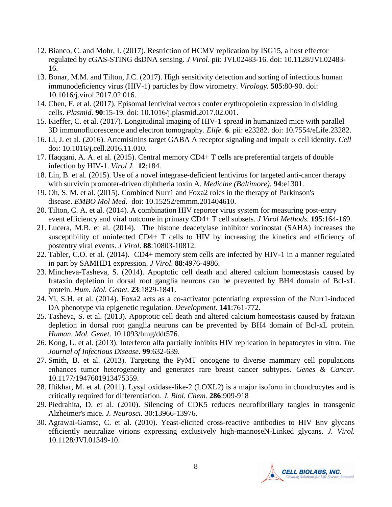- 12. Bianco, C. and Mohr, I. (2017). Restriction of HCMV replication by ISG15, a host effector regulated by cGAS-STING dsDNA sensing. *J Virol*. pii: JVI.02483-16. doi: 10.1128/JVI.02483- 16.
- 13. Bonar, M.M. and Tilton, J.C. (2017). High sensitivity detection and sorting of infectious human immunodeficiency virus (HIV-1) particles by flow virometry. *Virology.* **505**:80-90. doi: 10.1016/j.virol.2017.02.016.
- 14. Chen, F. et al. (2017). Episomal lentiviral vectors confer erythropoietin expression in dividing cells. *Plasmid*. **90**:15-19. doi: 10.1016/j.plasmid.2017.02.001.
- 15. Kieffer, C. et al. (2017). Longitudinal imaging of HIV-1 spread in humanized mice with parallel 3D immunofluorescence and electron tomography. *Elife*. **6**. pii: e23282. doi: 10.7554/eLife.23282.
- 16. Li, J. et al. (2016). Artemisinins target GABA A receptor signaling and impair  $\alpha$  cell identity. *Cell* doi: 10.1016/j.cell.2016.11.010.
- 17. Haqqani, A. A. et al. (2015). Central memory CD4+ T cells are preferential targets of double infection by HIV-1. *Virol J.* **12**:184.
- 18. Lin, B. et al. (2015). Use of a novel integrase-deficient lentivirus for targeted anti-cancer therapy with survivin promoter-driven diphtheria toxin A. *Medicine (Baltimore).* **94**:e1301.
- 19. Oh, S. M. et al. (2015). Combined Nurr1 and Foxa2 roles in the therapy of Parkinson's disease. *EMBO Mol Med.* doi: 10.15252/emmm.201404610.
- 20. Tilton, C. A. et al. (2014). A combination HIV reporter virus system for measuring post-entry event efficiency and viral outcome in primary CD4+ T cell subsets. *J Virol Methods.* **195**:164-169.
- 21. Lucera, M.B. et al. (2014). The histone deacetylase inhibitor vorinostat (SAHA) increases the susceptibility of uninfected CD4+ T cells to HIV by increasing the kinetics and efficiency of postentry viral events. *J Virol*. **88**:10803-10812.
- 22. Tabler, C.O. et al. (2014). CD4+ memory stem cells are infected by HIV-1 in a manner regulated in part by SAMHD1 expression. *J Virol*. **88**:4976-4986.
- 23. Mincheva-Tasheva, S. (2014). Apoptotic cell death and altered calcium homeostasis caused by frataxin depletion in dorsal root ganglia neurons can be prevented by BH4 domain of Bcl-xL protein. *Hum. Mol. Genet.* **23**:1829-1841.
- 24. Yi, S.H. et al. (2014). Foxa2 acts as a co-activator potentiating expression of the Nurr1-induced DA phenotype via epigenetic regulation. *Development*. **141**:761-772.
- 25. Tasheva, S. et al. (2013). Apoptotic cell death and altered calcium homeostasis caused by frataxin depletion in dorsal root ganglia neurons can be prevented by BH4 domain of Bcl-xL protein. *Human. Mol. Genet*. 10.1093/hmg/ddt576.
- 26. Kong, L. et al. (2013). Interferon alfa partially inhibits HIV replication in hepatocytes in vitro. *The Journal of Infectious Disease*. **99**:632-639.
- 27. Smith, B. et al. (2013). Targeting the PyMT oncogene to diverse mammary cell populations enhances tumor heterogeneity and generates rare breast cancer subtypes. *Genes & Cancer*. 10.1177/1947601913475359.
- 28. Iftikhar, M. et al. (2011). Lysyl oxidase-like-2 (LOXL2) is a major isoform in chondrocytes and is critically required for differentiation. *J. Biol. Chem.* **286**:909-918
- 29. Piedrahita, D. et al. (2010). Silencing of CDK5 reduces neurofibrillary tangles in transgenic Alzheimer's mice. *J. Neurosci.* 30:13966-13976.
- 30. Agrawai-Gamse, C. et al. (2010). Yeast-elicited cross-reactive antibodies to HIV Env glycans efficiently neutralize virions expressing exclusively high-mannoseN-Linked glycans. *J. Virol.* 10.1128/JVI.01349-10.